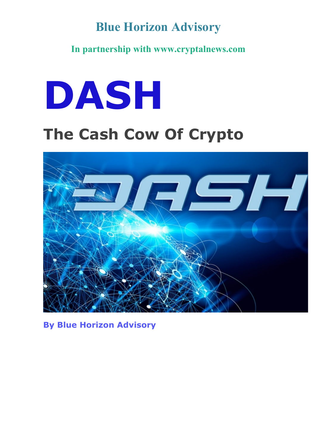**In partnership with www.cryptalnews.com**

# **DASH**

# **The Cash Cow Of Crypto**



**By Blue Horizon Advisory**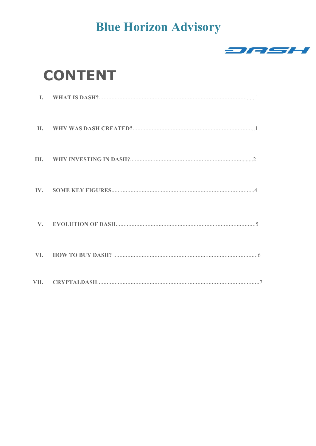

# **CONTENT**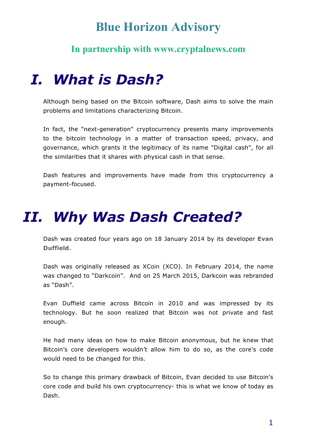#### **In partnership with www.cryptalnews.com**

# *I. What is Dash?*

Although being based on the Bitcoin software, Dash aims to solve the main problems and limitations characterizing Bitcoin.

In fact, the "next-generation" cryptocurrency presents many improvements to the bitcoin technology in a matter of transaction speed, privacy, and governance, which grants it the legitimacy of its name "Digital cash", for all the similarities that it shares with physical cash in that sense.

Dash features and improvements have made from this cryptocurrency a payment-focused.

# *II. Why Was Dash Created?*

Dash was created four years ago on 18 January 2014 by its developer **Evan Duffield**.

Dash was originally released as XCoin (XCO). In February 2014, the name was changed to "Darkcoin". And on 25 March 2015, Darkcoin was rebranded as "Dash".

Evan Duffield came across Bitcoin in 2010 and was impressed by its technology. But he soon realized that Bitcoin was not private and fast enough.

He had many ideas on how to make Bitcoin anonymous, but he knew that Bitcoin's core developers wouldn't allow him to do so, as the core's code would need to be changed for this.

So to change this primary drawback of Bitcoin, Evan decided to use Bitcoin's core code and build his own cryptocurrency- this is what we know of today as Dash.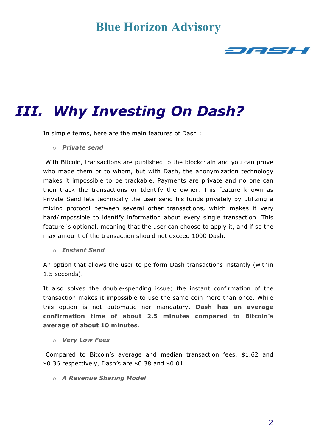

# *III. Why Investing On Dash?*

In simple terms, here are the main features of Dash :

o *Private send* 

With Bitcoin, transactions are published to the blockchain and you can prove who made them or to whom, but with Dash, the anonymization technology makes it impossible to be trackable. Payments are private and no one can then track the transactions or Identify the owner. This feature known as Private Send lets technically the user send his funds privately by utilizing a mixing protocol between several other transactions, which makes it very hard/impossible to identify information about every single transaction. This feature is optional, meaning that the user can choose to apply it, and if so the max amount of the transaction should not exceed 1000 Dash.

o *Instant Send* 

An option that allows the user to perform Dash transactions instantly (within 1.5 seconds).

It also solves the double-spending issue; the instant confirmation of the transaction makes it impossible to use the same coin more than once. While this option is not automatic nor mandatory, **Dash has an average confirmation time of about 2.5 minutes compared to Bitcoin's average of about 10 minutes**.

#### o *Very Low Fees*

Compared to Bitcoin's average and median transaction fees, \$1.62 and \$0.36 respectively, Dash's are \$0.38 and \$0.01.

o *A Revenue Sharing Model*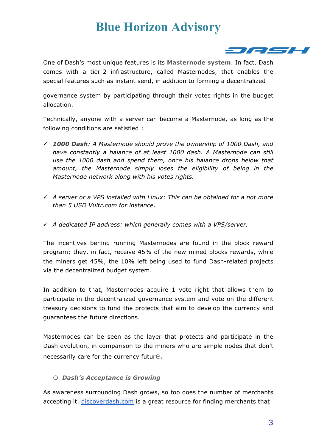

One of Dash's most unique features is its **Masternode system**. In fact, Dash comes with a tier-2 infrastructure, called Masternodes, that enables the special features such as instant send, in addition to forming a decentralized

governance system by participating through their votes rights in the budget allocation.

Technically, anyone with a server can become a Masternode, as long as the following conditions are satisfied :

- ü *1000 Dash: A Masternode should prove the ownership of 1000 Dash, and have constantly a balance of at least 1000 dash. A Masternode can still use the 1000 dash and spend them, once his balance drops below that amount, the Masternode simply loses the eligibility of being in the Masternode network along with his votes rights.*
- ü *A server or a VPS installed with Linux: This can be obtained for a not more than 5 USD Vultr.com for instance.*
- ü *A dedicated IP address: which generally comes with a VPS/server.*

The incentives behind running Masternodes are found in the block reward program; they, in fact, receive 45% of the new mined blocks rewards, while the miners get 45%, the 10% left being used to fund Dash-related projects via the decentralized budget system.

In addition to that, Masternodes acquire 1 vote right that allows them to participate in the decentralized governance system and vote on the different treasury decisions to fund the projects that aim to develop the currency and guarantees the future directions.

Masternodes can be seen as the layer that protects and participate in the Dash evolution, in comparison to the miners who are simple nodes that don't necessarily care for the currency future.

#### o *Dash's Acceptance is Growing*

As awareness surrounding Dash grows, so too does the number of merchants accepting it. discoverdash.com is a great resource for finding merchants that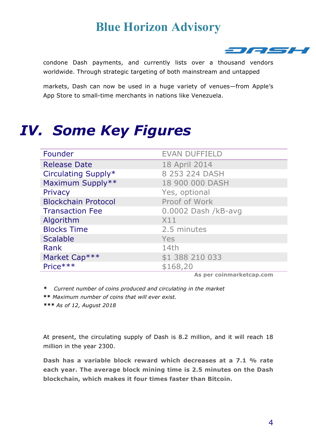

condone Dash payments, and currently lists over a thousand vendors worldwide. Through strategic targeting of both mainstream and untapped

markets, Dash can now be used in a huge variety of venues—from Apple's App Store to small-time merchants in nations like Venezuela.

# *IV. Some Key Figures*

| Founder                    | <b>EVAN DUFFIELD</b> |
|----------------------------|----------------------|
| <b>Release Date</b>        | 18 April 2014        |
| Circulating Supply*        | 8 253 224 DASH       |
| Maximum Supply**           | 18 900 000 DASH      |
| Privacy                    | Yes, optional        |
| <b>Blockchain Protocol</b> | Proof of Work        |
| <b>Transaction Fee</b>     | 0.0002 Dash /kB-avg  |
| Algorithm                  | X11                  |
| <b>Blocks Time</b>         | 2.5 minutes          |
| <b>Scalable</b>            | Yes                  |
| Rank                       | 14th                 |
| Market Cap***              | \$1 388 210 033      |
| Price***                   | \$168,20             |

**As per coinmarketcap.com**

*\* Current number of coins produced and circulating in the market*

**\*\*** *Maximum number of coins that will ever exist.*

*\*\*\* As of 12, August 2018*

At present, the circulating supply of Dash is 8.2 million, and it will reach 18 million in the year 2300.

**Dash has a variable block reward which decreases at a 7.1 % rate each year. The average block mining time is 2.5 minutes on the Dash blockchain, which makes it four times faster than Bitcoin.**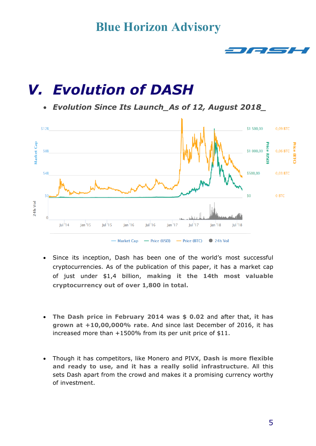

# *V. Evolution of DASH*

• *Evolution Since Its Launch\_As of 12, August 2018\_*



- $-$  Price (USD)  $-$  Price (BTC)  $\bullet$  24h Vol - Market Cap
- Since its inception, Dash has been one of the world's most successful cryptocurrencies. As of the publication of this paper, it has a market cap of just under \$1,4 billion, **making it the 14th most valuable cryptocurrency out of over 1,800 in total.**
- **The Dash price in February 2014 was \$ 0.02** and after that, **it has grown at +10,00,000% rate**. And since last December of 2016, it has increased more than +1500% from its per unit price of \$11.
- Though it has competitors, like Monero and PIVX, **Dash is more flexible and ready to use, and it has a really solid infrastructure**. All this sets Dash apart from the crowd and makes it a promising currency worthy of investment.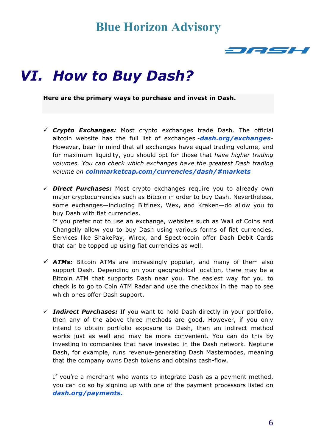

# *VI. How to Buy Dash?*

**Here are the primary ways to purchase and invest in Dash.**

- $\checkmark$  **Crypto Exchanges:** Most crypto exchanges trade Dash. The official altcoin website has the full list of exchanges -*dash.org/exchanges*-However, bear in mind that all exchanges have equal trading volume, and for maximum liquidity, you should opt for those that *have higher trading volumes. You can check which exchanges have the greatest Dash trading volume on coinmarketcap.com/currencies/dash/#markets*
- ü *Direct Purchases:* Most crypto exchanges require you to already own major cryptocurrencies such as Bitcoin in order to buy Dash. Nevertheless, some exchanges—including Bitfinex, Wex, and Kraken—do allow you to buy Dash with fiat currencies.

If you prefer not to use an exchange, websites such as Wall of Coins and Changelly allow you to buy Dash using various forms of fiat currencies. Services like ShakePay, Wirex, and Spectrocoin offer Dash Debit Cards that can be topped up using fiat currencies as well.

- $\checkmark$  **ATMs:** Bitcoin ATMs are increasingly popular, and many of them also support Dash. Depending on your geographical location, there may be a Bitcoin ATM that supports Dash near you. The easiest way for you to check is to go to Coin ATM Radar and use the checkbox in the map to see which ones offer Dash support.
- $\checkmark$  Indirect Purchases: If you want to hold Dash directly in your portfolio, then any of the above three methods are good. However, if you only intend to obtain portfolio exposure to Dash, then an indirect method works just as well and may be more convenient. You can do this by investing in companies that have invested in the Dash network. Neptune Dash, for example, runs revenue-generating Dash Masternodes, meaning that the company owns Dash tokens and obtains cash-flow.

If you're a merchant who wants to integrate Dash as a payment method, you can do so by signing up with one of the payment processors listed on *dash.org/payments.*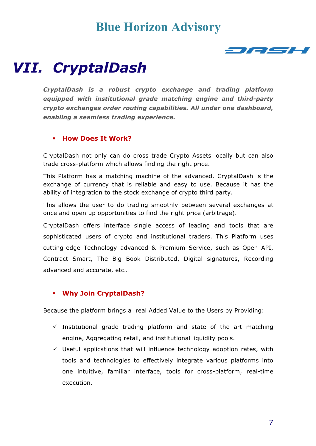

# *VII. CryptalDash*

*CryptalDash is a robust crypto exchange and trading platform equipped with institutional grade matching engine and third-party crypto exchanges order routing capabilities. All under one dashboard, enabling a seamless trading experience.*

#### § **How Does It Work?**

CryptalDash not only can do cross trade Crypto Assets locally but can also trade cross-platform which allows finding the right price.

This Platform has a matching machine of the advanced. CryptalDash is the exchange of currency that is reliable and easy to use. Because it has the ability of integration to the stock exchange of crypto third party.

This allows the user to do trading smoothly between several exchanges at once and open up opportunities to find the right price (arbitrage).

CryptalDash offers interface single access of leading and tools that are sophisticated users of crypto and institutional traders. This Platform uses cutting-edge Technology advanced & Premium Service, such as Open API, Contract Smart, The Big Book Distributed, Digital signatures, Recording advanced and accurate, etc…

#### § **Why Join CryptalDash?**

Because the platform brings a real Added Value to the Users by Providing:

- $\checkmark$  Institutional grade trading platform and state of the art matching engine, Aggregating retail, and institutional liquidity pools.
- $\checkmark$  Useful applications that will influence technology adoption rates, with tools and technologies to effectively integrate various platforms into one intuitive, familiar interface, tools for cross-platform, real-time execution.